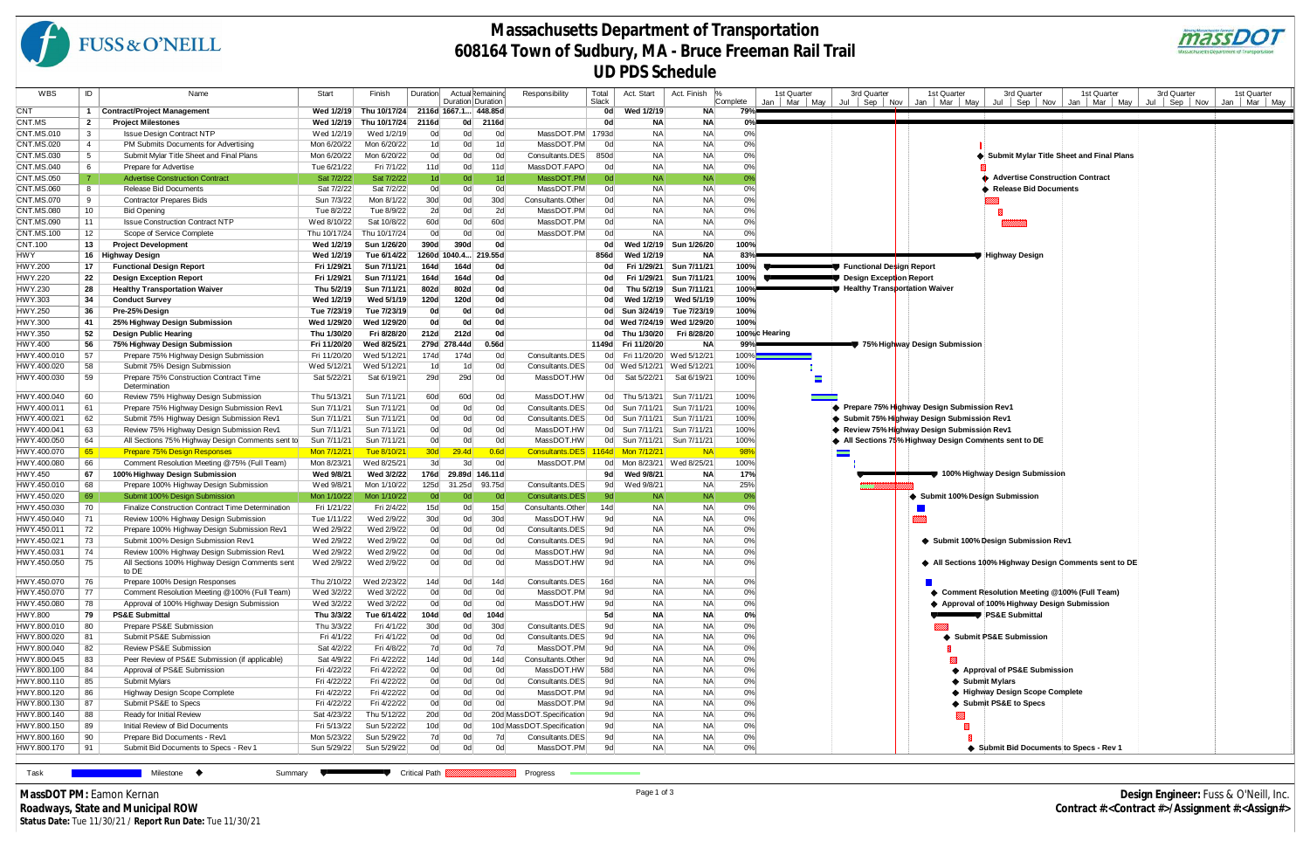| WBS                        | ID             | Name                                                  | Start                    | Finish                    | Duration             | Actual Remainino    |                 | Responsibility                     | Total       | Act. Start         | Act. Finish<br>$\frac{9}{6}$ |                  | 1st Quarter    | 3rd Quarter<br>1st Quarter<br>1st Quarter<br>3rd Quarter                                       | 3rd Quarter<br>1st Quarter |
|----------------------------|----------------|-------------------------------------------------------|--------------------------|---------------------------|----------------------|---------------------|-----------------|------------------------------------|-------------|--------------------|------------------------------|------------------|----------------|------------------------------------------------------------------------------------------------|----------------------------|
| CNT                        |                | <b>Contract/Project Management</b>                    | Wed 1/2/19               | Thu 10/17/24 2116d 1667.1 |                      | Duration Duration   | 448.85d         |                                    | Slack<br>0d | Wed 1/2/19         | NA                           | Complete<br>79%™ | Mar May<br>Jan | Jul   Sep   Nov   Jan   Mar   May  <br>Jul   Sep   Nov<br>Jan   Mar   May<br>Jul               | Sep Nov<br>Mar May<br>Jan  |
| CNT.MS                     | $\mathbf{2}$   | <b>Project Milestones</b>                             | Wed 1/2/19               | Thu 10/17/24              | 2116d                | 0d                  | 2116d           |                                    | 0d          | ΝA                 | NA                           | 0%               |                |                                                                                                |                            |
| CNT.MS.010                 | 3              | <b>Issue Design Contract NTP</b>                      | Wed 1/2/19               | Wed 1/2/19                | 0d                   | 0d                  | 0d              | MassDOT.PM 1793d                   |             | <b>NA</b>          | <b>NA</b>                    | 0%               |                |                                                                                                |                            |
| CNT.MS.020                 | $\overline{4}$ | PM Submits Documents for Advertising                  | Mon 6/20/22              | Mon 6/20/22               | 1 <sub>d</sub>       | 0d                  | 1d              | MassDOT.PM                         | 0d          | NA                 | NA                           | 0%               |                |                                                                                                |                            |
| CNT.MS.030                 | 5              | Submit Mylar Title Sheet and Final Plans              | Mon 6/20/22              | Mon 6/20/22               | 0d                   | 0d                  | 0d              | Consultants.DES                    | 850d        | <b>NA</b>          | <b>NA</b>                    | 0%               |                | Submit Mylar Title Sheet and Final Plans                                                       |                            |
| CNT.MS.040                 | 6              | Prepare for Advertise                                 | Tue 6/21/22              | Fri 7/1/22                | 11d                  | 0d                  | 11d             | MassDOT.FAPO                       | 0d          | <b>NA</b>          | <b>NA</b>                    | 0%               |                |                                                                                                |                            |
| CNT.MS.050                 | -7             | <b>Advertise Construction Contract</b>                | Sat 7/2/22               | Sat 7/2/22                | 1 <sub>d</sub>       | 0d                  | 1 <sub>d</sub>  | MassDOT.PM                         | $-0d$       | <b>NA</b>          | <b>NA</b>                    |                  |                | ♦ Advertise Construction Contract                                                              |                            |
| CNT.MS.060                 | 8              | Release Bid Documents                                 | Sat 7/2/22               | Sat 7/2/22                | 0d                   | 0d                  | 0d              | MassDOT.PM                         | 0d          | NA                 | <b>NA</b>                    | 0%               |                | <b>Release Bid Documents</b>                                                                   |                            |
| CNT.MS.070                 | 9              | <b>Contractor Prepares Bids</b>                       | Sun 7/3/22               | Mon 8/1/22                | 30d                  | 0d                  | 30 <sub>d</sub> | Consultants.Other                  | 0d          | <b>NA</b>          | <b>NA</b>                    | 0%               |                |                                                                                                |                            |
| CNT.MS.080                 | 10             | <b>Bid Opening</b>                                    | Tue 8/2/22               | Tue 8/9/22                | 2d                   | 0d                  | 2d              | MassDOT.PM                         | 0d          | NA                 | <b>NA</b>                    | 0%               |                |                                                                                                |                            |
| CNT.MS.090                 | 11             | <b>Issue Construction Contract NTP</b>                | Wed 8/10/22              | Sat 10/8/22               | 60d                  | 0d                  | 60d             | MassDOT.PM                         | 0d          | NA                 | <b>NA</b>                    | 0%               |                |                                                                                                |                            |
| CNT.MS.100                 | 12             | Scope of Service Complete                             | Thu 10/17/24             | Thu 10/17/24              | 0d                   | 0d                  | 0d              | MassDOT.PM                         | 0d          | NA                 | <b>NA</b>                    | 0%               |                |                                                                                                |                            |
| CNT.100                    | 13             | <b>Project Development</b>                            | <b>Wed 1/2/19</b>        | Sun 1/26/20               | 390d                 | 390d                | 0d              |                                    | 0d          | Wed 1/2/19         | Sun 1/26/20                  | 100%             |                |                                                                                                |                            |
| HWY                        |                | 16 Highway Design                                     | <b>Wed 1/2/19</b>        | Tue 6/14/22               | 1260d 1040.4 219.55d |                     |                 |                                    | 856d        | Wed 1/2/19         | <b>NA</b>                    |                  |                | <del>=♥</del> Highway Design                                                                   |                            |
| HWY.200                    | 17             | <b>Functional Design Report</b>                       | Fri 1/29/21              | Sun 7/11/21               | 164d                 | 164d                | 0d              |                                    | 0d          | Fri 1/29/21        | Sun 7/11/21                  | 100%             |                | Functional Design Report                                                                       |                            |
| HWY.220                    | 22             | <b>Design Exception Report</b>                        | Fri 1/29/21              | Sun 7/11/21               | 164d                 | 164d                | 0d              |                                    | 0d          | Fri 1/29/21        | Sun 7/11/21                  | 100%             |                | Design Exception Report                                                                        |                            |
| HWY.230                    | 28             | <b>Healthy Transportation Waiver</b>                  | Thu 5/2/19               | Sun 7/11/21               | 802d                 | 802d                | 0d              |                                    | 0d          | Thu 5/2/19         | Sun 7/11/21                  | 100%             |                | ■ Healthy Transportation Waiver                                                                |                            |
| HWY.303                    | 34             | <b>Conduct Survey</b>                                 | Wed 1/2/19               | Wed 5/1/19                | 120d                 | 120d                | 0d              |                                    | 0d          | Wed 1/2/19         | Wed 5/1/19                   | 100%             |                |                                                                                                |                            |
| HWY.250                    | 36             | Pre-25% Design                                        | Tue 7/23/19              | Tue 7/23/19               | 0d                   | 0d                  | 0d              |                                    |             |                    | 0d Sun 3/24/19 Tue 7/23/19   | 100%             |                |                                                                                                |                            |
| HWY.300                    | 41             | 25% Highway Design Submission                         | Wed 1/29/20              | Wed 1/29/20               | 0d                   | 0d                  | 0d              |                                    |             |                    | 0d Wed 7/24/19 Wed 1/29/20   | 100%             |                |                                                                                                |                            |
| HWY.350                    | 52             | <b>Design Public Hearing</b>                          | Thu 1/30/20              | Fri 8/28/20               | 212d                 | 212d                | 0d              |                                    |             | 0d Thu 1/30/20     | Fri 8/28/20                  |                  | 100%c Hearing  |                                                                                                |                            |
| HWY.400                    | 56             | 75% Highway Design Submission                         | Fri 11/20/20             | Wed 8/25/21               | 279d 278.44d         |                     | 0.56d           |                                    |             | 1149d Fri 11/20/20 | ΝA                           | 99%              |                | 75% Highway Design Submission                                                                  |                            |
| HWY.400.010                | 57             | Prepare 75% Highway Design Submission                 | Fri 11/20/20             | Wed 5/12/21               | 174d                 | 174d                | 0d              | Consultants.DES                    |             | 0d Fri 11/20/20    | Wed 5/12/21                  | $100\%$          |                |                                                                                                |                            |
| HWY.400.020                | 58             | Submit 75% Design Submission                          | Wed 5/12/21              | Wed 5/12/21               | 1 <sub>d</sub>       | 1d                  | 0d              | Consultants.DES                    |             | 0d Wed 5/12/21     | Wed 5/12/21                  | 100%             |                |                                                                                                |                            |
| HWY.400.030                | 59             | Prepare 75% Construction Contract Time                | Sat 5/22/21              | Sat 6/19/21               | 29d                  | 29d                 | 0d              | MassDOT.HW                         |             | 0d Sat 5/22/21     | Sat 6/19/21                  | 100%             |                |                                                                                                |                            |
| HWY.400.040                | 60             | Determination<br>Review 75% Highway Design Submission | Thu 5/13/21              | Sun 7/11/21               | 60d                  | 60d                 | 0d              | MassDOT.HW                         |             | 0d Thu 5/13/21     | Sun 7/11/21                  | 100%             |                |                                                                                                |                            |
| HWY.400.011                | 61             | Prepare 75% Highway Design Submission Rev1            | Sun 7/11/21              | Sun 7/11/21               | 0d                   | 0d                  | 0d              | Consultants.DES                    |             | 0d Sun 7/11/21     | Sun 7/11/21                  | 100%             |                | ◆ Prepare 75% Highway Design Submission Rev1                                                   |                            |
| HWY.400.021                | 62             | Submit 75% Highway Design Submission Rev1             | Sun 7/11/21              | Sun 7/11/21               | 0d                   | 0d                  | 0d              | Consultants.DES                    |             | 0d Sun 7/11/21     | Sun 7/11/21                  | 100%             |                | Submit 75% Highway Design Submission Rev1                                                      |                            |
| HWY.400.041                | 63             | Review 75% Highway Design Submission Rev1             | Sun 7/11/21              | Sun 7/11/21               | 0d                   | 0d                  | 0d              | MassDOT.HW                         |             | 0d Sun 7/11/21     | Sun 7/11/21                  | 100%             |                | Review 75% Highway Design Submission Rev1                                                      |                            |
| HWY.400.050                | 64             | All Sections 75% Highway Design Comments sent to      | Sun 7/11/21              | Sun 7/11/21               | 0d                   | 0d                  | 0d              | MassDOT.HW                         |             |                    | 0d Sun 7/11/21 Sun 7/11/21   | 100%             |                | All Sections 75% Highway Design Comments sent to DE                                            |                            |
| HWY.400.070                | 65             | <b>Prepare 75% Design Responses</b>                   | Mon 7/12/21              | <u>Tue 8/10/21</u>        | 30d                  | 29.4 <sub>d</sub>   | 0.6d            | Consultants.DES                    |             | 1164d Mon 7/12/21  | NA                           | 98%              |                |                                                                                                |                            |
| HWY.400.080                | 66             | Comment Resolution Meeting @75% (Full Team)           | Mon 8/23/21              | Wed 8/25/21               | 3d                   | 3d                  | 0d              | MassDOT.PM                         |             |                    | 0d Mon 8/23/21 Wed 8/25/21   | 100%             |                |                                                                                                |                            |
| HWY.450                    | 67             | 100% Highway Design Submission                        | Wed 9/8/21               | Wed 3/2/22                |                      | 176d 29.89d 146.11d |                 |                                    |             | 9d Wed 9/8/21      | ΝA                           | 17%              |                | 100% Highway Design Submission                                                                 |                            |
| HWY.450.010                | 68             | Prepare 100% Highway Design Submission                | Wed 9/8/21               | Mon 1/10/22               | 125d 31.25d          |                     | 93.75d          | Consultants.DES                    |             | 9d Wed 9/8/21      | <b>NA</b>                    | 25%              |                |                                                                                                |                            |
| HWY.450.020                | 69             | Submit 100% Design Submission                         | Mon 1/10/22              | Mon 1/10/22               | 0d                   | 0d                  | 0d              | Consultants.DES                    | 9d          | <b>NA</b>          | <b>NA</b>                    | 0%               |                | Submit 100% Design Submission                                                                  |                            |
| HWY.450.030                | 70             | Finalize Construction Contract Time Determination     | Fri 1/21/22              | Fri 2/4/22                | 15d                  | 0d                  | 15d             | Consultants.Other                  | 14d         | <b>NA</b>          | NA                           | 0%               |                |                                                                                                |                            |
| HWY.450.040                | 71             | Review 100% Highway Design Submission                 | Tue 1/11/22              | Wed 2/9/22                | 30d                  | 0d                  | 30d             | MassDOT.HW                         | 9d          | <b>NA</b>          | NA                           | 0%               |                |                                                                                                |                            |
| HWY.450.011                | 72             | Prepare 100% Highway Design Submission Rev1           | Wed 2/9/22               | Wed 2/9/22                | 0d                   | 0d                  | 0d              | Consultants.DES                    | 9d          | NA                 | NA                           | 0%               |                |                                                                                                |                            |
| HWY.450.021                | 73             | Submit 100% Design Submission Rev1                    | Wed 2/9/22               | Wed 2/9/22                | 0d                   | 0d                  | 0d              | Consultants.DES                    | 9d          | <b>NA</b>          | <b>NA</b>                    | 0%               |                | Submit 100% Design Submission Rev1                                                             |                            |
| HWY.450.031                | 74             | Review 100% Highway Design Submission Rev1            | Wed 2/9/22               | Wed 2/9/22                | 0d                   | 0d                  | 0d              | MassDOT.HW                         | 9d          | NA                 | <b>NA</b>                    | 0%               |                |                                                                                                |                            |
| HWY.450.050                | 75             | All Sections 100% Highway Design Comments sent        | Wed 2/9/22               | Wed 2/9/22                | 0d                   | 0d                  | 0d              | MassDOT.HW                         | 9d          | NΑ                 | <b>NA</b>                    | 0%               |                | All Sections 100% Highway Design Comments sent to DE                                           |                            |
|                            |                | to DE                                                 |                          |                           |                      |                     |                 |                                    |             |                    |                              |                  |                |                                                                                                |                            |
| HWY.450.070                | 76             | Prepare 100% Design Responses                         | Thu 2/10/22              | Wed 2/23/22               | 14d                  | 0d                  | 14d             | Consultants.DES                    | 16d         | <b>NA</b>          | NA                           | 0%               |                |                                                                                                |                            |
| HWY.450.070                | 77             | Comment Resolution Meeting @100% (Full Team)          | Wed 3/2/22               | Wed 3/2/22                | 0d                   | 0d                  | 0d              | MassDOT.PM                         | 9d          | <b>NA</b>          | <b>NA</b>                    | 0%               |                | ♦ Comment Resolution Meeting @100% (Full Team)<br>♦ Approval of 100% Highway Design Submission |                            |
| HWY.450.080                | 78             | Approval of 100% Highway Design Submission            | Wed 3/2/22               | Wed 3/2/22                | 0d                   | 0d                  | 0d              | MassDOT.HW                         | 9d          | <b>NA</b>          | <b>NA</b>                    | 0%<br>0%         |                |                                                                                                |                            |
| HWY.800                    | 79             | <b>PS&amp;E Submittal</b>                             | Thu 3/3/22               | Tue 6/14/22               | 104d                 | 0d                  | 104d            |                                    | 5d          | NA                 | <b>NA</b>                    |                  |                | <b>PS&amp;E Submittal</b>                                                                      |                            |
| HWY.800.010<br>HWY.800.020 | 80<br>81       | Prepare PS&E Submission<br>Submit PS&E Submission     | Thu 3/3/22<br>Fri 4/1/22 | Fri 4/1/22<br>Fri 4/1/22  | 30d<br>0d            | 0d<br>0d            | 30d<br>0d       | Consultants.DES<br>Consultants.DES | 9d<br>9d    | NA<br>NA           | <b>NA</b><br><b>NA</b>       | 0%<br>0%         |                | Submit PS&E Submission                                                                         |                            |
| HWY.800.040                | 82             | Review PS&E Submission                                | Sat 4/2/22               | Fri 4/8/22                | 7d                   | 0d                  | 7d              | MassDOT.PM                         | 9d          | NA.                | <b>NA</b>                    | 0%               |                |                                                                                                |                            |
| HWY.800.045                | 83             | Peer Review of PS&E Submission (if applicable)        | Sat 4/9/22               | Fri 4/22/22               | 14d                  | 0d                  | 14d             | Consultants.Other                  | 9d          | NA                 | NA                           | 0%               |                |                                                                                                |                            |
| HWY.800.100                | 84             | Approval of PS&E Submission                           | Fri 4/22/22              | Fri 4/22/22               | 0d                   | 0d                  | 0d              | MassDOT.HW                         | 58d         | <b>NA</b>          | <b>NA</b>                    | 0%               |                | ♦ Approval of PS&E Submission                                                                  |                            |
| HWY.800.110                | 85             | Submit Mylars                                         | Fri 4/22/22              | Fri 4/22/22               | 0d                   | 0d                  | 0d              | Consultants.DES                    | 9d          | NA                 | <b>NA</b>                    | 0%               |                | ♦ Submit Mylars                                                                                |                            |
| HWY.800.120                | 86             | Highway Design Scope Complete                         | Fri 4/22/22              | Fri 4/22/22               | 0d                   | 0d                  | 0d              | MassDOT.PM                         | 9d          | NA                 | <b>NA</b>                    | 0%               |                | ♦ Highway Design Scope Complete                                                                |                            |
| HWY.800.130                | 87             | Submit PS&E to Specs                                  | Fri 4/22/22              | Fri 4/22/22               | 0d                   | 0d                  | 0d              | MassDOT.PM                         | 9d          | NA.                | NA                           | 0%               |                | Submit PS&E to Specs                                                                           |                            |
| HWY.800.140                | 88             | Ready for Initial Review                              | Sat 4/23/22              | Thu 5/12/22               | 20d                  | 0d                  |                 | 20d MassDOT.Specification          | 9d          | ΝA                 | <b>NA</b>                    | 0%               |                |                                                                                                |                            |
| HWY.800.150                | 89             | Initial Review of Bid Documents                       | Fri 5/13/22              | Sun 5/22/22               | 10d                  | 0d                  |                 | 10d MassDOT.Specification          | 9d          | <b>NA</b>          | <b>NA</b>                    | 0%               |                |                                                                                                |                            |
| HWY.800.160                | 90             | Prepare Bid Documents - Rev1                          | Mon 5/23/22              | Sun 5/29/22               | 7d                   | 0d                  | 7d              | Consultants.DES                    | 9d          | NA                 | NA                           | 0%               |                |                                                                                                |                            |
| HWY.800.170                | 91             | Submit Bid Documents to Specs - Rev 1                 | Sun 5/29/22              | Sun 5/29/22               | 0d                   | 0d                  | 0d              | MassDOT.PM                         | 9d          | <b>NA</b>          | <b>NA</b>                    | 0%               |                | Submit Bid Documents to Specs - Rev 1                                                          |                            |
|                            |                |                                                       |                          |                           |                      |                     |                 |                                    |             |                    |                              |                  |                |                                                                                                |                            |
| Task                       |                | Milestone $\blacklozenge$<br>Summary V                |                          |                           | <b>Critical Path</b> |                     |                 | Progress                           |             |                    |                              |                  |                |                                                                                                |                            |



## **Massachusetts Department of Transportation 608164 Town of Sudbury, MA - Bruce Freeman Rail Trail UD PDS Schedule**

**MassDOT PM:** Eamon Kernan **Roadways, State and Municipal ROW Status Date:** Tue 11/30/21 / **Report Run Date:** Tue 11/30/21

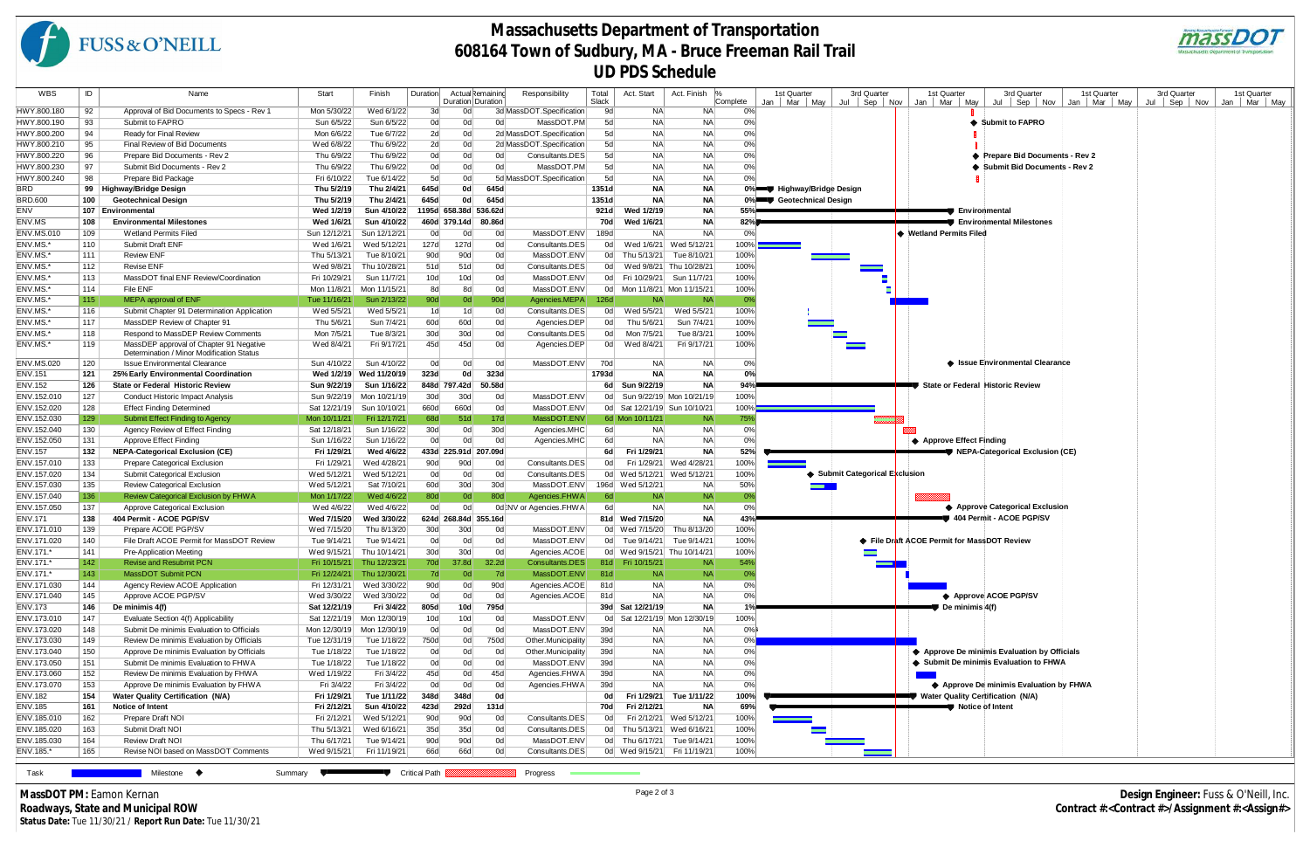| WBS                        | ID         | Name                                                                              | Start                      | Finish                    | Duration              | Actual Remainind<br>Duration Duration |        | Responsibility           | Total<br>Slack | Act. Start                   | Act. Finish  %          | Complete        |     | 1st Quarter<br>Mar   May | 3rd Quarter<br>$Jul \,   \, Sep \,   \, Nov$ | 1st Quarter              | 3rd Quarter                                  | 1st Quarter     | 3rd Quarter              | 1st Quarter    |
|----------------------------|------------|-----------------------------------------------------------------------------------|----------------------------|---------------------------|-----------------------|---------------------------------------|--------|--------------------------|----------------|------------------------------|-------------------------|-----------------|-----|--------------------------|----------------------------------------------|--------------------------|----------------------------------------------|-----------------|--------------------------|----------------|
| HWY.800.180                | 92         | Approval of Bid Documents to Specs - Rev 1                                        | Mon 5/30/22                | Wed 6/1/22                | 3d                    | 0d                                    |        | 3d MassDOT.Specification | 9d             | NA                           | NA.                     | 0%              | Jan |                          |                                              | Jan   Mar   May          | Jul   Sep   Nov                              | Jan   Mar   May | $Jul \t\t\t Sep \t\tNow$ | Mar May<br>Jan |
| HWY.800.190                | 93         | Submit to FAPRO                                                                   | Sun 6/5/22                 | Sun 6/5/22                | 0d                    | 0d                                    | 0d     | MassDOT.PM               | 5d             | NA                           | NA.                     | 0%              |     |                          |                                              |                          | ♦ Submit to FAPRO                            |                 |                          |                |
| HWY.800.200                | 94         | Ready for Final Review                                                            | Mon 6/6/22                 | Tue 6/7/22                | 2d                    | 0d                                    |        | 2d MassDOT.Specification | 5d             | NA                           | NA.                     | 0%              |     |                          |                                              |                          |                                              |                 |                          |                |
| HWY.800.210                | 95         | Final Review of Bid Documents                                                     | Wed 6/8/22                 | Thu 6/9/22                | 2d                    | 0d                                    |        | 2d MassDOT.Specification | 5d             | NA                           | NA.                     | 0%              |     |                          |                                              |                          |                                              |                 |                          |                |
| HWY.800.220                | 96         | Prepare Bid Documents - Rev 2                                                     | Thu 6/9/22                 | Thu 6/9/22                | 0d                    | 0d                                    | 0d     | Consultants.DES          | 5d             | NA                           | NA.                     | 0%              |     |                          |                                              |                          | ♦ Prepare Bid Documents - Rev 2              |                 |                          |                |
| HWY.800.230                | 97         | Submit Bid Documents - Rev 2                                                      | Thu 6/9/22                 | Thu 6/9/22                | 0d                    | 0d                                    | 0d     | MassDOT.PM               | 5d             | NA                           | NA.                     | 0%              |     |                          |                                              |                          | Submit Bid Documents - Rev 2                 |                 |                          |                |
|                            |            |                                                                                   |                            |                           |                       | 0d                                    |        |                          | 5d             | NA                           |                         |                 |     |                          |                                              |                          |                                              |                 |                          |                |
| HWY.800.240                | 98         | Prepare Bid Package                                                               | Fri 6/10/22                | Tue 6/14/22<br>Thu 2/4/21 | 5d<br>645d            | 0d                                    | 645d   | 5d MassDOT.Specification | 1351d          | <b>NA</b>                    | NA.                     | 0%              |     | 0% Highway/Bridge Design |                                              |                          |                                              |                 |                          |                |
| BRD                        | 99         | <b>Highway/Bridge Design</b>                                                      | Thu 5/2/19                 |                           |                       |                                       | 645d   |                          |                | <b>NA</b>                    | <b>NA</b>               |                 |     |                          |                                              |                          |                                              |                 |                          |                |
| BRD.600                    | 100        | <b>Geotechnical Design</b>                                                        | Thu 5/2/19                 | Thu 2/4/21                | 645d                  | 0d                                    |        |                          | 1351d          |                              | <b>NA</b>               |                 |     | 0% Geotechnical Design   |                                              |                          |                                              |                 |                          |                |
| ENV                        |            | 107 Environmental                                                                 | Wed 1/2/19                 | Sun 4/10/22               | 1195d 658.38d 536.62d |                                       |        |                          | 921 d          | Wed 1/2/19                   | <b>NA</b>               | 55%             |     |                          |                                              | <b>■ Environmental</b>   |                                              |                 |                          |                |
| ENV.MS                     | 108        | <b>Environmental Milestones</b>                                                   | <b>Wed 1/6/21</b>          | Sun 4/10/22               | 460d 379.14d          |                                       | 80.86d |                          | 70d            | Wed 1/6/21                   | <b>NA</b>               | 82%             |     |                          |                                              |                          | <b>Environmental Milestones</b>              |                 |                          |                |
| <b>ENV.MS.010</b>          | 109        | Wetland Permits Filed                                                             | Sun 12/12/21               | Sun 12/12/21              | 0d                    | 0 <sub>d</sub>                        | 0d     | MassDOT.ENV              | 189d           | <b>NA</b>                    | <b>NA</b>               | 0%              |     |                          |                                              | ♦ Wetland Permits Filed  |                                              |                 |                          |                |
| ENV.MS.*                   | 110        | Submit Draft ENF                                                                  | Wed 1/6/21                 | Wed 5/12/21               | 127d                  | 127d                                  | 0d     | Consultants.DES          | 0d             | Wed 1/6/21                   | Wed 5/12/21             | 100%            |     |                          |                                              |                          |                                              |                 |                          |                |
| ENV.MS.*                   | 111        | <b>Review ENF</b>                                                                 | Thu 5/13/21                | Tue 8/10/21               | 90d                   | 90d                                   | 0d     | MassDOT.ENV              |                | 0d Thu 5/13/21               | Tue 8/10/21             | 100%            |     |                          |                                              |                          |                                              |                 |                          |                |
| ENV.MS.'                   | 112        | <b>Revise ENF</b>                                                                 | Wed 9/8/21                 | Thu 10/28/21              | 51d                   | 51d                                   | 0d     | Consultants.DES          |                | 0d Wed 9/8/21                | Thu 10/28/21            | 100%            |     |                          |                                              |                          |                                              |                 |                          |                |
| ENV.MS.                    | 113        | MassDOT final ENF Review/Coordination                                             | Fri 10/29/21               | Sun 11/7/21               | 10d                   | 10d                                   | 0d     | MassDOT.ENV              |                | 0d Fri 10/29/21              | Sun 11/7/21             | 100%            |     |                          |                                              |                          |                                              |                 |                          |                |
| ENV.MS.'                   | 114        | File ENF                                                                          | Mon 11/8/21                | Mon 11/15/21              | 8d                    | 8d                                    | 0d     | MassDOT.ENV              |                | 0d Mon 11/8/21 Mon 11/15/21  |                         | 100%            |     |                          |                                              |                          |                                              |                 |                          |                |
| ENV.MS.'                   | 115        | MEPA approval of ENF                                                              | Tue 11/16/21               | Sun 2/13/22               | 90d                   | 0d                                    | 90d    | Agencies.MEPA            | 126d           | <b>NA</b>                    | <b>NA</b>               | 0%              |     |                          |                                              |                          |                                              |                 |                          |                |
| ENV.MS.*                   | 116        | Submit Chapter 91 Determination Application                                       | Wed 5/5/21                 | Wed 5/5/21                | 1d                    | 1d                                    | 0d     | Consultants.DES          |                | 0d Wed 5/5/21                | Wed 5/5/21              | 100%            |     |                          |                                              |                          |                                              |                 |                          |                |
| ENV.MS.                    | 117        | MassDEP Review of Chapter 91                                                      | Thu 5/6/21                 | Sun 7/4/21                | 60d                   | 60d                                   | 0d     | Agencies.DEP             | 0d             | Thu 5/6/21                   | Sun 7/4/21              | 100%            |     |                          |                                              |                          |                                              |                 |                          |                |
| ENV.MS.*                   | 118        | Respond to MassDEP Review Comments                                                | Mon 7/5/21                 | Tue 8/3/21                | 30d                   | 30d                                   | 0d     | Consultants.DES          | 0d             | Mon 7/5/21                   | Tue 8/3/21              | 100%            |     |                          |                                              |                          |                                              |                 |                          |                |
| ENV.MS.'                   | 119        | MassDEP approval of Chapter 91 Negative                                           | Wed 8/4/21                 | Fri 9/17/21               | 45d                   | 45d                                   | 0d     | Agencies.DEP             |                | 0d Wed 8/4/21                | Fri 9/17/21             | 100%            |     |                          |                                              |                          |                                              |                 |                          |                |
| ENV.MS.020                 | 120        | Determination / Minor Modification Status<br><b>Issue Environmental Clearance</b> | Sun 4/10/22                | Sun 4/10/22               | 0d                    | 0d                                    | 0d     | MassDOT.ENV              | 70d            | NA                           | NA.                     | 0%              |     |                          |                                              |                          | Simulation Separate Superior Separate        |                 |                          |                |
| ENV.151                    | 121        | 25% Early Environmental Coordination                                              | <b>Wed 1/2/19</b>          | Wed 11/20/19              | 323d                  | 0d                                    | 323d   |                          | 1793d          | <b>NA</b>                    | <b>NA</b>               | 0%              |     |                          |                                              |                          |                                              |                 |                          |                |
| ENV.152                    | 126        | <b>State or Federal Historic Review</b>                                           | Sun 9/22/19                | Sun 1/16/22               | 848d 797.42d          |                                       | 50.58d |                          | 6d l           | Sun 9/22/19                  | <b>NA</b>               | 94%             |     |                          |                                              |                          | State or Federal Historic Review             |                 |                          |                |
| ENV.152.010                | 127        | <b>Conduct Historic Impact Analysis</b>                                           |                            | Sun 9/22/19 Mon 10/21/19  | 30d                   | 30d                                   | 0d     | MassDOT.ENV              |                | 0d Sun 9/22/19 Mon 10/21/19  |                         | 100%            |     |                          |                                              |                          |                                              |                 |                          |                |
| ENV.152.020                | 128        | <b>Effect Finding Determined</b>                                                  | Sat 12/21/19               | Sun 10/10/21              | 660d                  | 660d                                  | 0d     | MassDOT.ENV              |                | 0d Sat 12/21/19 Sun 10/10/21 |                         | 100%            |     |                          |                                              |                          |                                              |                 |                          |                |
| ENV.152.030                | 129        | Submit Effect Finding to Agency                                                   | Mon 10/11/21               | Fri 12/17/21              | 68d                   | 51d                                   | 17d    | MassDOT.ENV              |                | 6d Mon 10/11/21              | <b>NA</b>               | 75%             |     |                          |                                              |                          |                                              |                 |                          |                |
| ENV.152.040                | 130        | Agency Review of Effect Finding                                                   | Sat 12/18/21               | Sun 1/16/22               | 30d                   | 0d                                    | 30d    | Agencies.MHC             | 6d             | NA                           | NA.                     | 0%              |     |                          |                                              |                          |                                              |                 |                          |                |
| ENV.152.050                | 131        | Approve Effect Finding                                                            | Sun 1/16/22                | Sun 1/16/22               | 0d                    | 0d                                    | 0d     | Agencies.MHC             | 6d             | NA                           | NA.                     | 0%              |     |                          |                                              | ♦ Approve Effect Finding |                                              |                 |                          |                |
| ENV.157                    | 132        | <b>NEPA-Categorical Exclusion (CE)</b>                                            | Fri 1/29/21                | Wed 4/6/22                | 433d 225.91d 207.09d  |                                       |        |                          | 6d             | Fri 1/29/21                  | <b>NA</b>               | 52%             |     |                          |                                              |                          | NEPA-Categorical Exclusion (CE)              |                 |                          |                |
|                            |            |                                                                                   |                            | Wed 4/28/21               |                       | 90d                                   | 0d     | Consultants.DES          | 0d             | Fri 1/29/21                  | Wed 4/28/21             | 100%            |     |                          |                                              |                          |                                              |                 |                          |                |
| ENV.157.010<br>ENV.157.020 | 133<br>134 | Prepare Categorical Exclusion<br>Submit Categorical Exclusion                     | Fri 1/29/21<br>Wed 5/12/21 | Wed 5/12/21               | 90d<br>0d             | 0d                                    | 0d     | Consultants.DES          |                | 0d Wed 5/12/21 Wed 5/12/21   |                         | 100%            |     |                          | ♦ Submit Categorical Exclusion               |                          |                                              |                 |                          |                |
| ENV.157.030                | 135        | <b>Review Categorical Exclusion</b>                                               | Wed 5/12/21                | Sat 7/10/21               | 60d                   | 30d                                   | 30d    | MassDOT.ENV              |                | 196d Wed 5/12/21             | NA.                     | 50%             |     |                          |                                              |                          |                                              |                 |                          |                |
|                            | 136        | Review Categorical Exclusion by FHWA                                              | Mon 1/17/22                | Wed 4/6/22                | 80d                   | 0d                                    | 80d    | Agencies.FHWA            | -6d            | <b>NA</b>                    | <b>NA</b>               |                 |     |                          |                                              |                          |                                              |                 |                          |                |
| ENV.157.040<br>ENV.157.050 | 137        | Approve Categorical Exclusion                                                     | Wed 4/6/22                 | Wed 4/6/22                | 0d                    | 0d                                    |        | 0d:NV or Agencies.FHWA   | 6d             | NA                           | <b>NA</b>               | $ 0\% $<br>0%   |     |                          |                                              |                          | ♦ Approve Categorical Exclusion              |                 |                          |                |
| ENV.171                    | 138        | 404 Permit - ACOE PGP/SV                                                          | Wed 7/15/20                | Wed 3/30/22               | 624d 268.84d 355.16d  |                                       |        |                          |                | 81d Wed 7/15/20              | <b>NA</b>               | 43 <sup>°</sup> |     |                          |                                              |                          | 404 Permit - ACOE PGP/SV                     |                 |                          |                |
| ENV.171.010                | 139        | Prepare ACOE PGP/SV                                                               | Wed 7/15/20                | Thu 8/13/20               | 30d                   | 30d                                   | 0d     | MassDOT.ENV              |                | 0d Wed 7/15/20               | Thu 8/13/20             | 100%            |     |                          |                                              |                          |                                              |                 |                          |                |
| ENV.171.020                | 140        | File Draft ACOE Permit for MassDOT Review                                         | Tue 9/14/21                | Tue 9/14/21               | 0d                    | 0d                                    | 0d     | MassDOT.ENV              |                | 0d Tue 9/14/21               | Tue 9/14/21             | 100%            |     |                          |                                              |                          | ♦ File Draft ACOE Permit for MassDOT Review  |                 |                          |                |
| ENV.171.*                  | 141        | Pre-Application Meeting                                                           | Wed 9/15/21                | Thu 10/14/21              | 30d                   | 30d                                   | 0d     | Agencies.ACOE            |                | 0d Wed 9/15/21 Thu 10/14/21  |                         | 100%            |     |                          | —                                            |                          |                                              |                 |                          |                |
| ENV.171.*                  | 142        | <b>Revise and Resubmit PCN</b>                                                    |                            | Fri 10/15/21 Thu 12/23/21 | 70d                   | 37.8d                                 | 32.2d  | Consultants.DES          |                | 81d Fri 10/15/21             | <b>NA</b>               | 54%             |     |                          | <b>____</b>                                  |                          |                                              |                 |                          |                |
| ENV.171.*                  | 143        | MassDOT Submit PCN                                                                | Fri 12/24/21               | Thu 12/30/21              | 7d                    | 0d                                    | - 7d   | MassDOT.ENV 81d          |                | <b>NA</b>                    | <b>NA</b>               | $-0\%$          |     |                          |                                              |                          |                                              |                 |                          |                |
| ENV.171.030                | 144        | Agency Review ACOE Application                                                    | Fri 12/31/21               | Wed 3/30/22               | 90d                   | 0d                                    | 90d    | Agencies.ACOE            | 81d            | <b>NA</b>                    | NA.                     | 0%              |     |                          |                                              |                          |                                              |                 |                          |                |
| ENV.171.040                | 145        | Approve ACOE PGP/SV                                                               | Wed 3/30/22                | Wed 3/30/22               | 0d                    | 0d                                    | 0d     | Agencies.ACOE            | 81d            | <b>NA</b>                    | NA                      | 0%              |     |                          |                                              |                          | ♦ Approve ACOE PGP/SV                        |                 |                          |                |
| ENV.173                    | 146        | De minimis 4(f)                                                                   | Sat 12/21/19               | Fri 3/4/22                | 805d                  | 10d                                   | 795d   |                          |                | 39d Sat 12/21/19             | <b>NA</b>               |                 |     |                          |                                              | De minimis 4(f)          |                                              |                 |                          |                |
| ENV.173.010                | 147        | Evaluate Section 4(f) Applicability                                               |                            | Sat 12/21/19 Mon 12/30/19 | 10d                   | 10d                                   | 0d     | MassDOT.ENV              |                | 0d Sat 12/21/19 Mon 12/30/19 |                         | 100%            |     |                          |                                              |                          |                                              |                 |                          |                |
| ENV.173.020                | 148        | Submit De minimis Evaluation to Officials                                         |                            | Mon 12/30/19 Mon 12/30/19 | 0d                    | 0d                                    | 0d     | MassDOT.ENV              | 39d            | NA.                          | NA.                     | $0\%$           |     |                          |                                              |                          |                                              |                 |                          |                |
| ENV.173.030                | 149        | Review De minimis Evaluation by Officials                                         | Tue 12/31/19               | Tue 1/18/22               | 750d                  | 0d                                    | 750d   | Other.Municipality       | 39d            | <b>NA</b>                    | NA.                     | 0%              |     |                          |                                              |                          |                                              |                 |                          |                |
| ENV.173.040                | 150        | Approve De minimis Evaluation by Officials                                        | Tue 1/18/22                | Tue 1/18/22               | 0d                    | 0d                                    | 0d     | Other.Municipality       | 39d            | <b>NA</b>                    | NA.                     | 0%              |     |                          |                                              |                          | ♦ Approve De minimis Evaluation by Officials |                 |                          |                |
| ENV.173.050                | 151        | Submit De minimis Evaluation to FHWA                                              | Tue 1/18/22                | Tue 1/18/22               | 0d                    | 0d                                    | 0d     | MassDOT.ENV              | 39d            | NA.                          | NA.                     | 0%              |     |                          |                                              |                          | Submit De minimis Evaluation to FHWA         |                 |                          |                |
| ENV.173.060                | 152        | Review De minimis Evaluation by FHWA                                              | Wed 1/19/22                | Fri 3/4/22                | 45d                   | 0d                                    | 45d    | Agencies.FHWA            | 39d            | <b>NA</b>                    | NA                      | 0%              |     |                          |                                              |                          |                                              |                 |                          |                |
| ENV.173.070                | 153        | Approve De minimis Evaluation by FHWA                                             | Fri 3/4/22                 | Fri 3/4/22                | 0d                    | 0d                                    | 0d     | Agencies.FHWA            | 39d            | NA                           | NA.                     | 0%              |     |                          |                                              |                          | ♦ Approve De minimis Evaluation by FHWA      |                 |                          |                |
| ENV.182                    | 154        | <b>Water Quality Certification (N/A)</b>                                          | Fri 1/29/21                | Tue 1/11/22               | 348d                  | 348d                                  | 0d     |                          | 0d             | Fri 1/29/21                  | Tue 1/11/22             | 100%            |     |                          |                                              |                          | Water Quality Certification (N/A)            |                 |                          |                |
| ENV.185                    | 161        | Notice of Intent                                                                  | Fri 2/12/21                | Sun 4/10/22               | 423d                  | 292d                                  | 131d   |                          | 70d            | Fri 2/12/21                  | <b>NA</b>               | 69%             |     |                          |                                              | Notice of Intent         |                                              |                 |                          |                |
| ENV.185.010                | 162        | Prepare Draft NOI                                                                 | Fri 2/12/21                | Wed 5/12/21               | 90d                   | 90d                                   | 0d     | Consultants.DES          | 0d             |                              | Fri 2/12/21 Wed 5/12/21 | 100%            |     | <u> André Maria</u>      |                                              |                          |                                              |                 |                          |                |
| ENV.185.020                | 163        | Submit Draft NOI                                                                  | Thu 5/13/21                | Wed 6/16/21               | 35d                   | 35d                                   | 0d     | Consultants.DES          |                | 0d Thu 5/13/21               | Wed 6/16/21             | 100%            |     |                          |                                              |                          |                                              |                 |                          |                |
| ENV.185.030                | 164        | <b>Review Draft NOI</b>                                                           | Thu 6/17/21                | Tue 9/14/21               | 90d                   | 90d                                   | 0d     | MassDOT.ENV              |                | 0d Thu 6/17/21               | Tue 9/14/21             | 100%            |     |                          |                                              |                          |                                              |                 |                          |                |
| ENV.185.*                  | 165        | Revise NOI based on MassDOT Comments                                              | Wed 9/15/21                | Fri 11/19/21              | 66d                   | 66d                                   | 0d     | Consultants.DES          |                | 0d Wed 9/15/21 Fri 11/19/21  |                         | 100%            |     |                          |                                              |                          |                                              |                 |                          |                |
|                            |            |                                                                                   |                            |                           |                       |                                       |        |                          |                |                              |                         |                 |     |                          |                                              |                          |                                              |                 |                          |                |
| Task                       |            | Milestone $\blacklozenge$                                                         | Summary V                  | -9                        | <b>Critical Path</b>  |                                       |        | Progress                 |                |                              |                         |                 |     |                          |                                              |                          |                                              |                 |                          |                |



## **Massachusetts Department of Transportation 608164 Town of Sudbury, MA - Bruce Freeman Rail Trail UD PDS Schedule**

**MassDOT PM:** Eamon Kernan **Roadways, State and Municipal ROW Status Date:** Tue 11/30/21 / **Report Run Date:** Tue 11/30/21